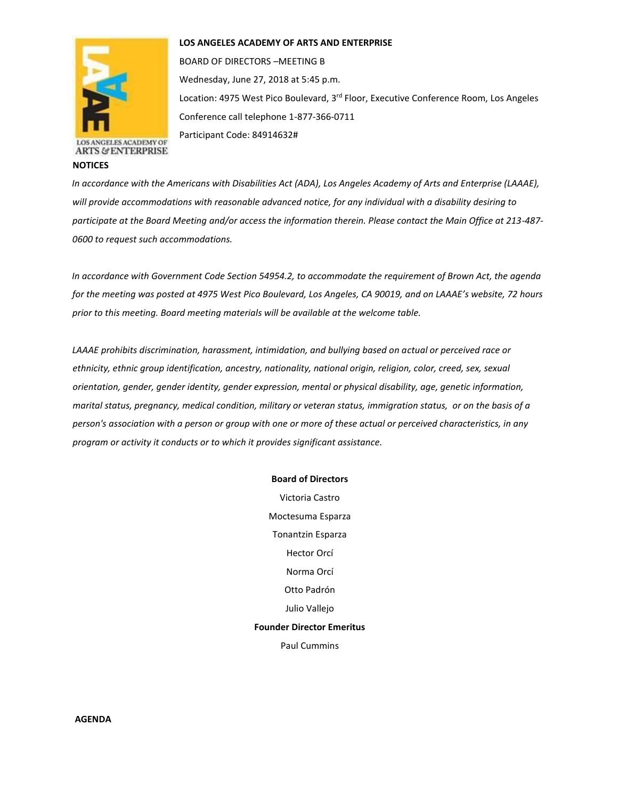

**ARTS & ENTERPRISE** 

**NOTICES**

## **LOS ANGELES ACADEMY OF ARTS AND ENTERPRISE**

BOARD OF DIRECTORS –MEETING B Wednesday, June 27, 2018 at 5:45 p.m. Location: 4975 West Pico Boulevard, 3<sup>rd</sup> Floor, Executive Conference Room, Los Angeles Conference call telephone 1-877-366-0711

Participant Code: 84914632#

*In accordance with the Americans with Disabilities Act (ADA), Los Angeles Academy of Arts and Enterprise (LAAAE), will provide accommodations with reasonable advanced notice, for any individual with a disability desiring to participate at the Board Meeting and/or access the information therein. Please contact the Main Office at 213-487- 0600 to request such accommodations.* 

*In accordance with Government Code Section 54954.2, to accommodate the requirement of Brown Act, the agenda for the meeting was posted at 4975 West Pico Boulevard, Los Angeles, CA 90019, and on LAAAE's website, 72 hours prior to this meeting. Board meeting materials will be available at the welcome table.* 

*LAAAE prohibits discrimination, harassment, intimidation, and bullying based on actual or perceived race or ethnicity, ethnic group identification, ancestry, nationality, national origin, religion, color, creed, sex, sexual orientation, gender, gender identity, gender expression, mental or physical disability, age, genetic information, marital status, pregnancy, medical condition, military or veteran status, immigration status, or on the basis of a person's association with a person or group with one or more of these actual or perceived characteristics, in any program or activity it conducts or to which it provides significant assistance.* 

## **Board of Directors**

Victoria Castro Moctesuma Esparza Tonantzin Esparza Hector Orcí Norma Orcí Otto Padrón Julio Vallejo **Founder Director Emeritus** Paul Cummins

**AGENDA**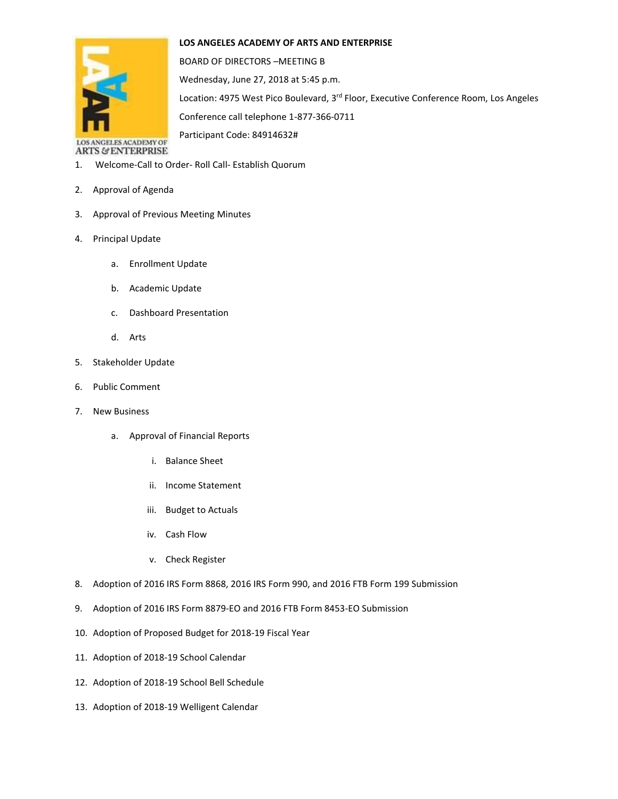## **LOS ANGELES ACADEMY OF ARTS AND ENTERPRISE**



BOARD OF DIRECTORS –MEETING B Wednesday, June 27, 2018 at 5:45 p.m. Location: 4975 West Pico Boulevard, 3<sup>rd</sup> Floor, Executive Conference Room, Los Angeles Conference call telephone 1-877-366-0711 Participant Code: 84914632#

LOS ANGELES ACADEMY OF **ARTS & ENTERPRISE** 

- 1. Welcome-Call to Order- Roll Call- Establish Quorum
- 2. Approval of Agenda
- 3. Approval of Previous Meeting Minutes
- 4. Principal Update
	- a. Enrollment Update
	- b. Academic Update
	- c. Dashboard Presentation
	- d. Arts
- 5. Stakeholder Update
- 6. Public Comment
- 7. New Business
	- a. Approval of Financial Reports
		- i. Balance Sheet
		- ii. Income Statement
		- iii. Budget to Actuals
		- iv. Cash Flow
		- v. Check Register
- 8. Adoption of 2016 IRS Form 8868, 2016 IRS Form 990, and 2016 FTB Form 199 Submission
- 9. Adoption of 2016 IRS Form 8879-EO and 2016 FTB Form 8453-EO Submission
- 10. Adoption of Proposed Budget for 2018-19 Fiscal Year
- 11. Adoption of 2018-19 School Calendar
- 12. Adoption of 2018-19 School Bell Schedule
- 13. Adoption of 2018-19 Welligent Calendar